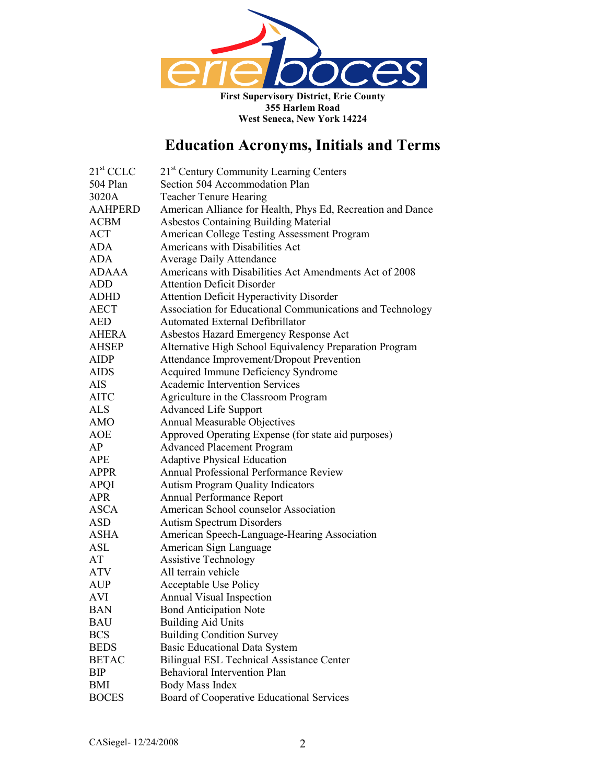

| $21st$ CCLC    | 21 <sup>st</sup> Century Community Learning Centers         |
|----------------|-------------------------------------------------------------|
| 504 Plan       | Section 504 Accommodation Plan                              |
| 3020A          | <b>Teacher Tenure Hearing</b>                               |
| <b>AAHPERD</b> | American Alliance for Health, Phys Ed, Recreation and Dance |
| <b>ACBM</b>    | <b>Asbestos Containing Building Material</b>                |
| <b>ACT</b>     | American College Testing Assessment Program                 |
| <b>ADA</b>     | Americans with Disabilities Act                             |
| <b>ADA</b>     | <b>Average Daily Attendance</b>                             |
| <b>ADAAA</b>   | Americans with Disabilities Act Amendments Act of 2008      |
| <b>ADD</b>     | <b>Attention Deficit Disorder</b>                           |
| <b>ADHD</b>    | <b>Attention Deficit Hyperactivity Disorder</b>             |
| <b>AECT</b>    | Association for Educational Communications and Technology   |
| <b>AED</b>     | Automated External Defibrillator                            |
| <b>AHERA</b>   | Asbestos Hazard Emergency Response Act                      |
| <b>AHSEP</b>   | Alternative High School Equivalency Preparation Program     |
| <b>AIDP</b>    | Attendance Improvement/Dropout Prevention                   |
| <b>AIDS</b>    | Acquired Immune Deficiency Syndrome                         |
| AIS            | Academic Intervention Services                              |
| <b>AITC</b>    | Agriculture in the Classroom Program                        |
| <b>ALS</b>     | <b>Advanced Life Support</b>                                |
| <b>AMO</b>     | Annual Measurable Objectives                                |
| AOE            | Approved Operating Expense (for state aid purposes)         |
| AP             | <b>Advanced Placement Program</b>                           |
| <b>APE</b>     | <b>Adaptive Physical Education</b>                          |
| <b>APPR</b>    | Annual Professional Performance Review                      |
| <b>APQI</b>    | <b>Autism Program Quality Indicators</b>                    |
| <b>APR</b>     | Annual Performance Report                                   |
| <b>ASCA</b>    | American School counselor Association                       |
| <b>ASD</b>     | <b>Autism Spectrum Disorders</b>                            |
| <b>ASHA</b>    | American Speech-Language-Hearing Association                |
| ASL            | American Sign Language                                      |
| AT             | <b>Assistive Technology</b>                                 |
| ATV            | All terrain vehicle                                         |
| <b>AUP</b>     | Acceptable Use Policy                                       |
| <b>AVI</b>     | Annual Visual Inspection                                    |
| <b>BAN</b>     | <b>Bond Anticipation Note</b>                               |
| <b>BAU</b>     | <b>Building Aid Units</b>                                   |
| <b>BCS</b>     | <b>Building Condition Survey</b>                            |
| <b>BEDS</b>    | <b>Basic Educational Data System</b>                        |
| <b>BETAC</b>   | <b>Bilingual ESL Technical Assistance Center</b>            |
| <b>BIP</b>     | <b>Behavioral Intervention Plan</b>                         |
| BMI            | Body Mass Index                                             |
| <b>BOCES</b>   | Board of Cooperative Educational Services                   |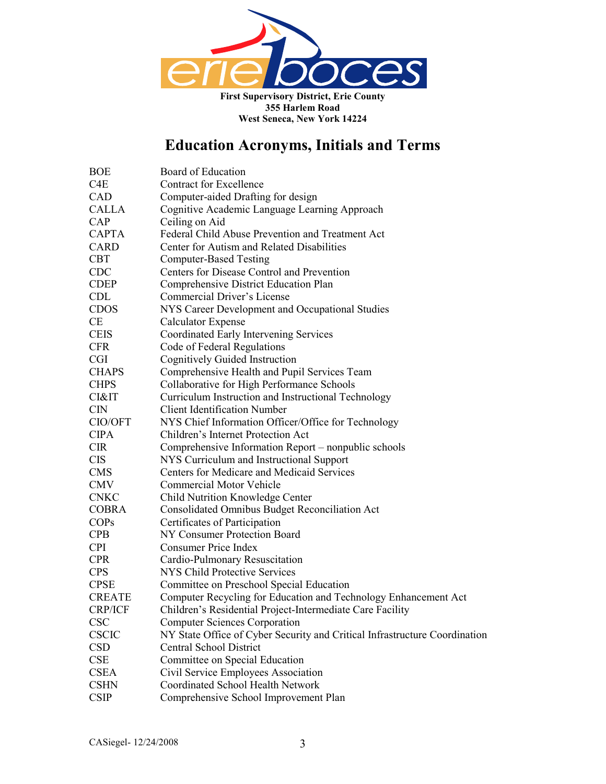

| <b>BOE</b>    | Board of Education                                                         |  |
|---------------|----------------------------------------------------------------------------|--|
| C4E           | <b>Contract for Excellence</b>                                             |  |
| CAD           | Computer-aided Drafting for design                                         |  |
| <b>CALLA</b>  | Cognitive Academic Language Learning Approach                              |  |
| CAP           | Ceiling on Aid                                                             |  |
| <b>CAPTA</b>  | Federal Child Abuse Prevention and Treatment Act                           |  |
| <b>CARD</b>   | Center for Autism and Related Disabilities                                 |  |
| <b>CBT</b>    | <b>Computer-Based Testing</b>                                              |  |
| CDC           | Centers for Disease Control and Prevention                                 |  |
| <b>CDEP</b>   | Comprehensive District Education Plan                                      |  |
| <b>CDL</b>    | Commercial Driver's License                                                |  |
| <b>CDOS</b>   | NYS Career Development and Occupational Studies                            |  |
| <b>CE</b>     | <b>Calculator Expense</b>                                                  |  |
| <b>CEIS</b>   | Coordinated Early Intervening Services                                     |  |
| <b>CFR</b>    | Code of Federal Regulations                                                |  |
| <b>CGI</b>    | <b>Cognitively Guided Instruction</b>                                      |  |
| <b>CHAPS</b>  | Comprehensive Health and Pupil Services Team                               |  |
| <b>CHPS</b>   | Collaborative for High Performance Schools                                 |  |
| CI&IT         | Curriculum Instruction and Instructional Technology                        |  |
| <b>CIN</b>    | <b>Client Identification Number</b>                                        |  |
| CIO/OFT       | NYS Chief Information Officer/Office for Technology                        |  |
| <b>CIPA</b>   | Children's Internet Protection Act                                         |  |
| <b>CIR</b>    | Comprehensive Information Report – nonpublic schools                       |  |
| <b>CIS</b>    | NYS Curriculum and Instructional Support                                   |  |
| <b>CMS</b>    | Centers for Medicare and Medicaid Services                                 |  |
| <b>CMV</b>    | <b>Commercial Motor Vehicle</b>                                            |  |
| <b>CNKC</b>   | Child Nutrition Knowledge Center                                           |  |
| <b>COBRA</b>  | Consolidated Omnibus Budget Reconciliation Act                             |  |
| <b>COPs</b>   | Certificates of Participation                                              |  |
| <b>CPB</b>    | NY Consumer Protection Board                                               |  |
| <b>CPI</b>    | <b>Consumer Price Index</b>                                                |  |
| <b>CPR</b>    | Cardio-Pulmonary Resuscitation                                             |  |
| <b>CPS</b>    | <b>NYS Child Protective Services</b>                                       |  |
| <b>CPSE</b>   | Committee on Preschool Special Education                                   |  |
| <b>CREATE</b> | Computer Recycling for Education and Technology Enhancement Act            |  |
| CRP/ICF       | Children's Residential Project-Intermediate Care Facility                  |  |
| <b>CSC</b>    | <b>Computer Sciences Corporation</b>                                       |  |
| <b>CSCIC</b>  | NY State Office of Cyber Security and Critical Infrastructure Coordination |  |
| <b>CSD</b>    | <b>Central School District</b>                                             |  |
| <b>CSE</b>    | Committee on Special Education                                             |  |
| <b>CSEA</b>   | Civil Service Employees Association                                        |  |
| <b>CSHN</b>   | <b>Coordinated School Health Network</b>                                   |  |
| <b>CSIP</b>   | Comprehensive School Improvement Plan                                      |  |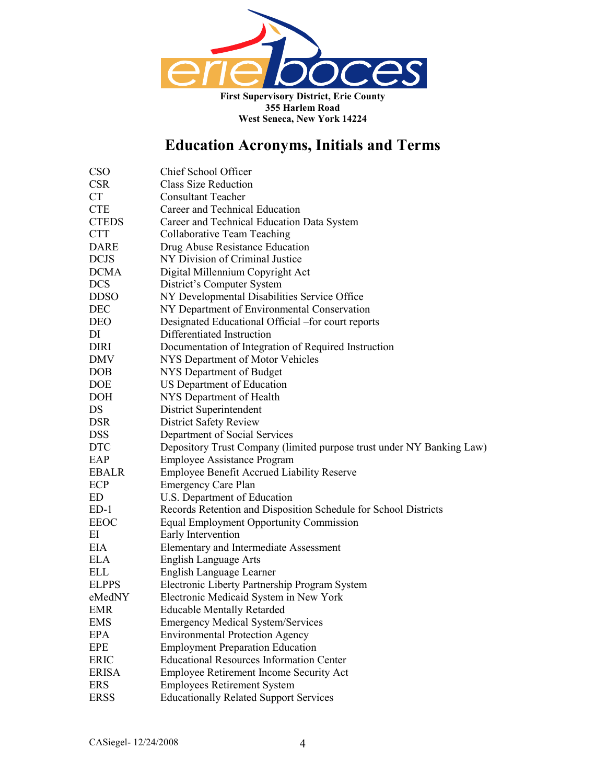

| <b>CSO</b>   | Chief School Officer                                                  |  |
|--------------|-----------------------------------------------------------------------|--|
| <b>CSR</b>   | <b>Class Size Reduction</b>                                           |  |
| <b>CT</b>    | <b>Consultant Teacher</b>                                             |  |
| <b>CTE</b>   | Career and Technical Education                                        |  |
| <b>CTEDS</b> | Career and Technical Education Data System                            |  |
| <b>CTT</b>   | Collaborative Team Teaching                                           |  |
| <b>DARE</b>  | Drug Abuse Resistance Education                                       |  |
| <b>DCJS</b>  | NY Division of Criminal Justice                                       |  |
| <b>DCMA</b>  | Digital Millennium Copyright Act                                      |  |
| <b>DCS</b>   | District's Computer System                                            |  |
| <b>DDSO</b>  | NY Developmental Disabilities Service Office                          |  |
| DEC          | NY Department of Environmental Conservation                           |  |
| <b>DEO</b>   | Designated Educational Official -for court reports                    |  |
| DI           | Differentiated Instruction                                            |  |
| <b>DIRI</b>  | Documentation of Integration of Required Instruction                  |  |
| DMV          | NYS Department of Motor Vehicles                                      |  |
| <b>DOB</b>   | NYS Department of Budget                                              |  |
| <b>DOE</b>   | US Department of Education                                            |  |
| <b>DOH</b>   | NYS Department of Health                                              |  |
| DS           | District Superintendent                                               |  |
| <b>DSR</b>   | <b>District Safety Review</b>                                         |  |
| <b>DSS</b>   | Department of Social Services                                         |  |
| <b>DTC</b>   | Depository Trust Company (limited purpose trust under NY Banking Law) |  |
| EAP          | <b>Employee Assistance Program</b>                                    |  |
| <b>EBALR</b> | <b>Employee Benefit Accrued Liability Reserve</b>                     |  |
| ECP          | <b>Emergency Care Plan</b>                                            |  |
| ED           | U.S. Department of Education                                          |  |
| $ED-1$       | Records Retention and Disposition Schedule for School Districts       |  |
| EEOC         | <b>Equal Employment Opportunity Commission</b>                        |  |
| ΕI           | Early Intervention                                                    |  |
| EIA          | Elementary and Intermediate Assessment                                |  |
| ELA          | <b>English Language Arts</b>                                          |  |
| ELL          | English Language Learner                                              |  |
| <b>ELPPS</b> | Electronic Liberty Partnership Program System                         |  |
| eMedNY       | Electronic Medicaid System in New York                                |  |
| <b>EMR</b>   | <b>Educable Mentally Retarded</b>                                     |  |
| <b>EMS</b>   | <b>Emergency Medical System/Services</b>                              |  |
| EPA          | <b>Environmental Protection Agency</b>                                |  |
| <b>EPE</b>   | <b>Employment Preparation Education</b>                               |  |
| <b>ERIC</b>  | <b>Educational Resources Information Center</b>                       |  |
| <b>ERISA</b> | Employee Retirement Income Security Act                               |  |
| <b>ERS</b>   | <b>Employees Retirement System</b>                                    |  |
| <b>ERSS</b>  | <b>Educationally Related Support Services</b>                         |  |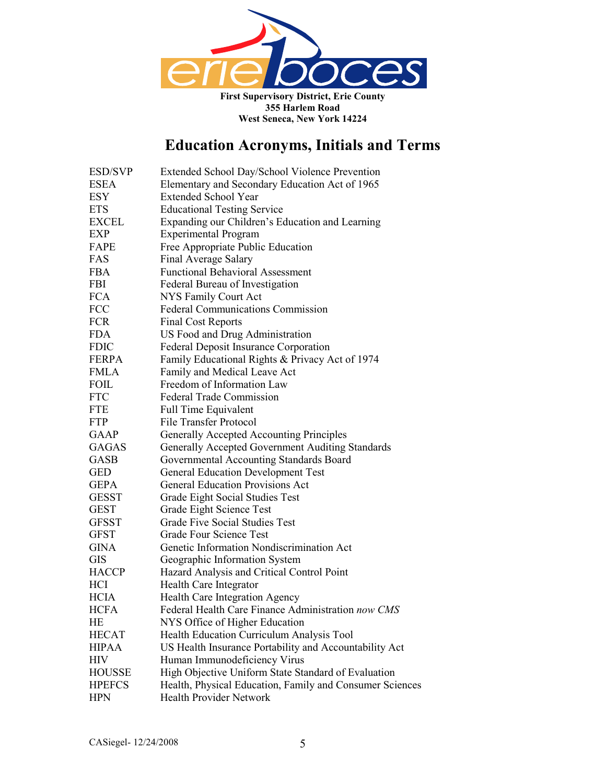

| <b>ESD/SVP</b> | Extended School Day/School Violence Prevention           |
|----------------|----------------------------------------------------------|
| <b>ESEA</b>    | Elementary and Secondary Education Act of 1965           |
| <b>ESY</b>     | <b>Extended School Year</b>                              |
| <b>ETS</b>     | <b>Educational Testing Service</b>                       |
| <b>EXCEL</b>   | Expanding our Children's Education and Learning          |
| <b>EXP</b>     | <b>Experimental Program</b>                              |
| FAPE           | Free Appropriate Public Education                        |
| FAS            | Final Average Salary                                     |
| <b>FBA</b>     | <b>Functional Behavioral Assessment</b>                  |
| <b>FBI</b>     | Federal Bureau of Investigation                          |
| <b>FCA</b>     | NYS Family Court Act                                     |
| <b>FCC</b>     | <b>Federal Communications Commission</b>                 |
| <b>FCR</b>     | <b>Final Cost Reports</b>                                |
| <b>FDA</b>     | US Food and Drug Administration                          |
| <b>FDIC</b>    | Federal Deposit Insurance Corporation                    |
| <b>FERPA</b>   | Family Educational Rights & Privacy Act of 1974          |
| <b>FMLA</b>    | Family and Medical Leave Act                             |
| <b>FOIL</b>    | Freedom of Information Law                               |
| <b>FTC</b>     | <b>Federal Trade Commission</b>                          |
| <b>FTE</b>     | <b>Full Time Equivalent</b>                              |
| <b>FTP</b>     | <b>File Transfer Protocol</b>                            |
| <b>GAAP</b>    | Generally Accepted Accounting Principles                 |
| <b>GAGAS</b>   | Generally Accepted Government Auditing Standards         |
| <b>GASB</b>    | Governmental Accounting Standards Board                  |
| <b>GED</b>     | <b>General Education Development Test</b>                |
| <b>GEPA</b>    | <b>General Education Provisions Act</b>                  |
| <b>GESST</b>   | Grade Eight Social Studies Test                          |
| <b>GEST</b>    | Grade Eight Science Test                                 |
| <b>GFSST</b>   | <b>Grade Five Social Studies Test</b>                    |
| <b>GFST</b>    | Grade Four Science Test                                  |
| <b>GINA</b>    | Genetic Information Nondiscrimination Act                |
| <b>GIS</b>     | Geographic Information System                            |
| <b>HACCP</b>   | Hazard Analysis and Critical Control Point               |
| HCI            | Health Care Integrator                                   |
| <b>HCIA</b>    | Health Care Integration Agency                           |
| <b>HCFA</b>    | Federal Health Care Finance Administration now CMS       |
| HE             | NYS Office of Higher Education                           |
| <b>HECAT</b>   | Health Education Curriculum Analysis Tool                |
| <b>HIPAA</b>   | US Health Insurance Portability and Accountability Act   |
| <b>HIV</b>     | Human Immunodeficiency Virus                             |
| <b>HOUSSE</b>  | High Objective Uniform State Standard of Evaluation      |
| <b>HPEFCS</b>  | Health, Physical Education, Family and Consumer Sciences |
| <b>HPN</b>     | Health Provider Network                                  |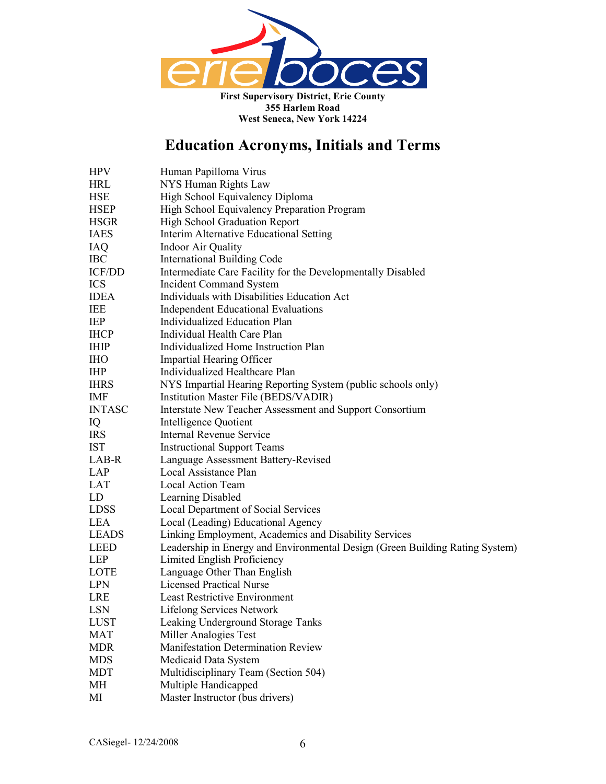

| HPV           | Human Papilloma Virus                                                        |
|---------------|------------------------------------------------------------------------------|
| HRL           | NYS Human Rights Law                                                         |
| HSE           | High School Equivalency Diploma                                              |
| HSEP          | High School Equivalency Preparation Program                                  |
| HSGR          | High School Graduation Report                                                |
| <b>IAES</b>   | Interim Alternative Educational Setting                                      |
| IAQ           | <b>Indoor Air Quality</b>                                                    |
| IBC           | <b>International Building Code</b>                                           |
| <b>ICF/DD</b> | Intermediate Care Facility for the Developmentally Disabled                  |
| ICS           | <b>Incident Command System</b>                                               |
| <b>IDEA</b>   | Individuals with Disabilities Education Act                                  |
| IEE           | <b>Independent Educational Evaluations</b>                                   |
| IEP           | Individualized Education Plan                                                |
| <b>IHCP</b>   | Individual Health Care Plan                                                  |
| IHIP          | Individualized Home Instruction Plan                                         |
| IНO           | Impartial Hearing Officer                                                    |
| IHP           | Individualized Healthcare Plan                                               |
| <b>IHRS</b>   | NYS Impartial Hearing Reporting System (public schools only)                 |
| IMF           | Institution Master File (BEDS/VADIR)                                         |
| <b>INTASC</b> | Interstate New Teacher Assessment and Support Consortium                     |
| IQ            | Intelligence Quotient                                                        |
| IRS           | <b>Internal Revenue Service</b>                                              |
| IST           | <b>Instructional Support Teams</b>                                           |
| LAB-R         | Language Assessment Battery-Revised                                          |
| LAP           | Local Assistance Plan                                                        |
| LAT           | Local Action Team                                                            |
| LD            | Learning Disabled                                                            |
| LDSS          | <b>Local Department of Social Services</b>                                   |
| LEA           | Local (Leading) Educational Agency                                           |
| <b>LEADS</b>  | Linking Employment, Academics and Disability Services                        |
| LEED          | Leadership in Energy and Environmental Design (Green Building Rating System) |
| LEP           | Limited English Proficiency                                                  |
| LOTE          | Language Other Than English                                                  |
| LPN           | <b>Licensed Practical Nurse</b>                                              |
| LRE           | <b>Least Restrictive Environment</b>                                         |
| LSN           | Lifelong Services Network                                                    |
| LUST          | Leaking Underground Storage Tanks                                            |
| MAT           | Miller Analogies Test                                                        |
| MDR           | <b>Manifestation Determination Review</b>                                    |
| MDS           | Medicaid Data System                                                         |
| MDT           | Multidisciplinary Team (Section 504)                                         |
| MН            | Multiple Handicapped                                                         |
| МI            | Master Instructor (bus drivers)                                              |
|               |                                                                              |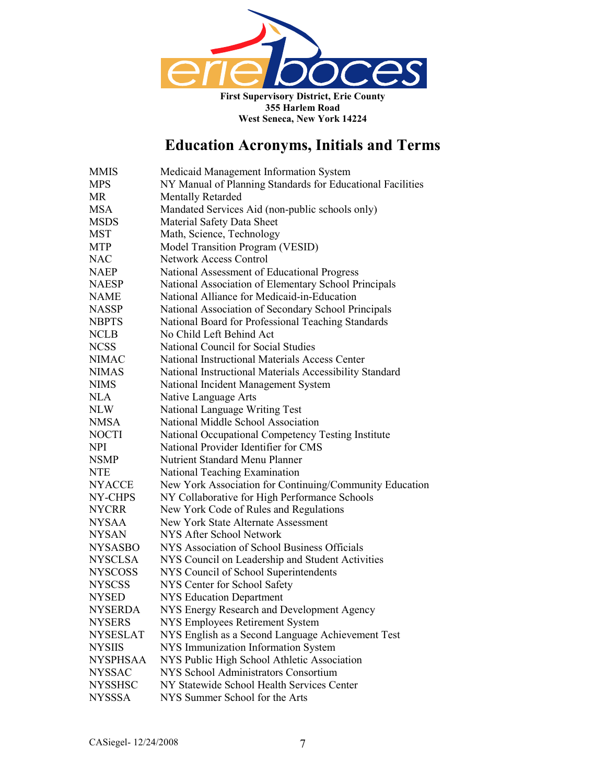

| <b>MMIS</b>     | Medicaid Management Information System                     |  |
|-----------------|------------------------------------------------------------|--|
| <b>MPS</b>      | NY Manual of Planning Standards for Educational Facilities |  |
| <b>MR</b>       | <b>Mentally Retarded</b>                                   |  |
| <b>MSA</b>      | Mandated Services Aid (non-public schools only)            |  |
| <b>MSDS</b>     | Material Safety Data Sheet                                 |  |
| <b>MST</b>      | Math, Science, Technology                                  |  |
| <b>MTP</b>      | Model Transition Program (VESID)                           |  |
| <b>NAC</b>      | <b>Network Access Control</b>                              |  |
| <b>NAEP</b>     | National Assessment of Educational Progress                |  |
| <b>NAESP</b>    | National Association of Elementary School Principals       |  |
| <b>NAME</b>     | National Alliance for Medicaid-in-Education                |  |
| <b>NASSP</b>    | National Association of Secondary School Principals        |  |
| <b>NBPTS</b>    | National Board for Professional Teaching Standards         |  |
| <b>NCLB</b>     | No Child Left Behind Act                                   |  |
| <b>NCSS</b>     | <b>National Council for Social Studies</b>                 |  |
| <b>NIMAC</b>    | National Instructional Materials Access Center             |  |
| <b>NIMAS</b>    | National Instructional Materials Accessibility Standard    |  |
| <b>NIMS</b>     | National Incident Management System                        |  |
| <b>NLA</b>      | Native Language Arts                                       |  |
| <b>NLW</b>      | National Language Writing Test                             |  |
| <b>NMSA</b>     | National Middle School Association                         |  |
| <b>NOCTI</b>    | National Occupational Competency Testing Institute         |  |
| <b>NPI</b>      | National Provider Identifier for CMS                       |  |
| <b>NSMP</b>     | <b>Nutrient Standard Menu Planner</b>                      |  |
| <b>NTE</b>      | National Teaching Examination                              |  |
| <b>NYACCE</b>   | New York Association for Continuing/Community Education    |  |
| NY-CHPS         | NY Collaborative for High Performance Schools              |  |
| <b>NYCRR</b>    | New York Code of Rules and Regulations                     |  |
| <b>NYSAA</b>    | <b>New York State Alternate Assessment</b>                 |  |
| <b>NYSAN</b>    | NYS After School Network                                   |  |
| <b>NYSASBO</b>  | NYS Association of School Business Officials               |  |
| <b>NYSCLSA</b>  | NYS Council on Leadership and Student Activities           |  |
| <b>NYSCOSS</b>  | NYS Council of School Superintendents                      |  |
| <b>NYSCSS</b>   | NYS Center for School Safety                               |  |
| <b>NYSED</b>    | <b>NYS Education Department</b>                            |  |
| <b>NYSERDA</b>  | NYS Energy Research and Development Agency                 |  |
| <b>NYSERS</b>   | NYS Employees Retirement System                            |  |
| <b>NYSESLAT</b> | NYS English as a Second Language Achievement Test          |  |
| <b>NYSIIS</b>   | NYS Immunization Information System                        |  |
| <b>NYSPHSAA</b> | NYS Public High School Athletic Association                |  |
| <b>NYSSAC</b>   | NYS School Administrators Consortium                       |  |
| <b>NYSSHSC</b>  | NY Statewide School Health Services Center                 |  |
| <b>NYSSSA</b>   | NYS Summer School for the Arts                             |  |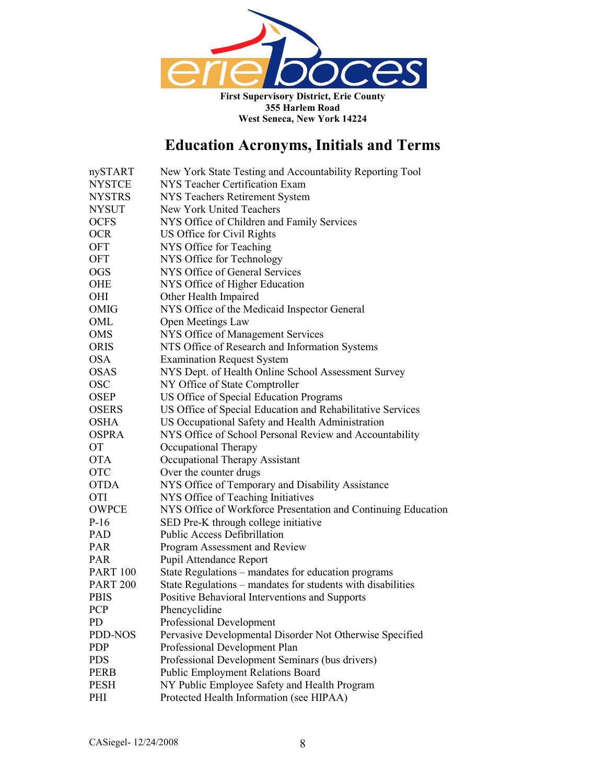

| nySTART         | New York State Testing and Accountability Reporting Tool      |
|-----------------|---------------------------------------------------------------|
| <b>NYSTCE</b>   | NYS Teacher Certification Exam                                |
| <b>NYSTRS</b>   | <b>NYS Teachers Retirement System</b>                         |
| <b>NYSUT</b>    | New York United Teachers                                      |
| <b>OCFS</b>     | NYS Office of Children and Family Services                    |
| <b>OCR</b>      | US Office for Civil Rights                                    |
| <b>OFT</b>      | NYS Office for Teaching                                       |
| <b>OFT</b>      | NYS Office for Technology                                     |
| <b>OGS</b>      | NYS Office of General Services                                |
| <b>OHE</b>      | NYS Office of Higher Education                                |
| OHI             | Other Health Impaired                                         |
| OMIG            | NYS Office of the Medicaid Inspector General                  |
| OML             | Open Meetings Law                                             |
| <b>OMS</b>      | NYS Office of Management Services                             |
| <b>ORIS</b>     | NTS Office of Research and Information Systems                |
| <b>OSA</b>      | <b>Examination Request System</b>                             |
| <b>OSAS</b>     | NYS Dept. of Health Online School Assessment Survey           |
| <b>OSC</b>      | NY Office of State Comptroller                                |
| <b>OSEP</b>     | US Office of Special Education Programs                       |
| <b>OSERS</b>    | US Office of Special Education and Rehabilitative Services    |
| <b>OSHA</b>     | US Occupational Safety and Health Administration              |
| <b>OSPRA</b>    | NYS Office of School Personal Review and Accountability       |
| <b>OT</b>       | Occupational Therapy                                          |
| <b>OTA</b>      | Occupational Therapy Assistant                                |
| <b>OTC</b>      | Over the counter drugs                                        |
| <b>OTDA</b>     | NYS Office of Temporary and Disability Assistance             |
| <b>OTI</b>      | NYS Office of Teaching Initiatives                            |
| <b>OWPCE</b>    | NYS Office of Workforce Presentation and Continuing Education |
| $P-16$          | SED Pre-K through college initiative                          |
| <b>PAD</b>      | <b>Public Access Defibrillation</b>                           |
| <b>PAR</b>      | Program Assessment and Review                                 |
| PAR             | Pupil Attendance Report                                       |
| <b>PART 100</b> | State Regulations - mandates for education programs           |
| <b>PART 200</b> | State Regulations – mandates for students with disabilities   |
| <b>PBIS</b>     | Positive Behavioral Interventions and Supports                |
| <b>PCP</b>      | Phencyclidine                                                 |
| PD.             | Professional Development                                      |
| PDD-NOS         | Pervasive Developmental Disorder Not Otherwise Specified      |
| <b>PDP</b>      | Professional Development Plan                                 |
| <b>PDS</b>      | Professional Development Seminars (bus drivers)               |
| <b>PERB</b>     | <b>Public Employment Relations Board</b>                      |
| <b>PESH</b>     | NY Public Employee Safety and Health Program                  |
| PHI             | Protected Health Information (see HIPAA)                      |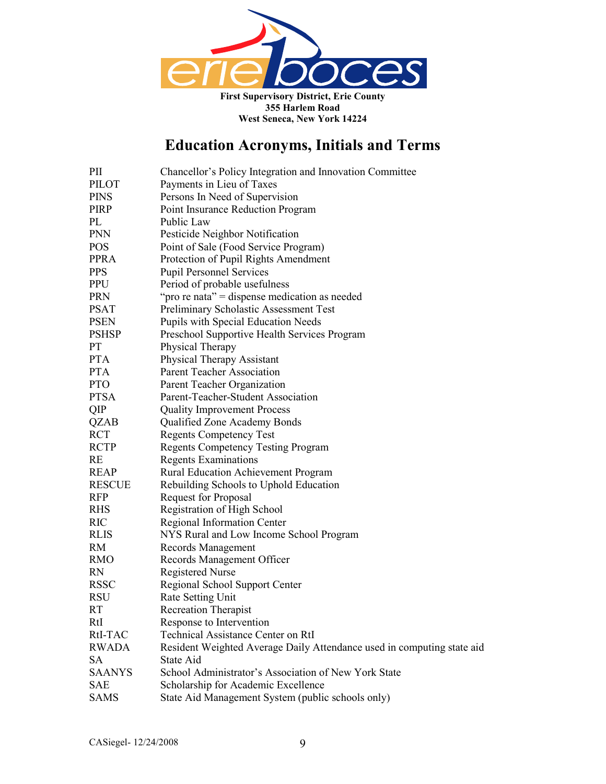

| PII           | Chancellor's Policy Integration and Innovation Committee               |  |
|---------------|------------------------------------------------------------------------|--|
| <b>PILOT</b>  | Payments in Lieu of Taxes                                              |  |
| <b>PINS</b>   | Persons In Need of Supervision                                         |  |
| PIRP          | Point Insurance Reduction Program                                      |  |
| PL            | Public Law                                                             |  |
| <b>PNN</b>    | Pesticide Neighbor Notification                                        |  |
| <b>POS</b>    | Point of Sale (Food Service Program)                                   |  |
| <b>PPRA</b>   | Protection of Pupil Rights Amendment                                   |  |
| <b>PPS</b>    | <b>Pupil Personnel Services</b>                                        |  |
| <b>PPU</b>    | Period of probable usefulness                                          |  |
| <b>PRN</b>    | "pro re nata" = dispense medication as needed                          |  |
| <b>PSAT</b>   | Preliminary Scholastic Assessment Test                                 |  |
| <b>PSEN</b>   | Pupils with Special Education Needs                                    |  |
| <b>PSHSP</b>  | Preschool Supportive Health Services Program                           |  |
| PT            | Physical Therapy                                                       |  |
| <b>PTA</b>    | Physical Therapy Assistant                                             |  |
| <b>PTA</b>    | Parent Teacher Association                                             |  |
| <b>PTO</b>    | Parent Teacher Organization                                            |  |
| <b>PTSA</b>   | Parent-Teacher-Student Association                                     |  |
| QIP           | <b>Quality Improvement Process</b>                                     |  |
| <b>QZAB</b>   | Qualified Zone Academy Bonds                                           |  |
| <b>RCT</b>    | <b>Regents Competency Test</b>                                         |  |
| <b>RCTP</b>   | <b>Regents Competency Testing Program</b>                              |  |
| RE            | <b>Regents Examinations</b>                                            |  |
| <b>REAP</b>   | <b>Rural Education Achievement Program</b>                             |  |
| <b>RESCUE</b> | Rebuilding Schools to Uphold Education                                 |  |
| <b>RFP</b>    | Request for Proposal                                                   |  |
| <b>RHS</b>    | Registration of High School                                            |  |
| RIC           | Regional Information Center                                            |  |
| <b>RLIS</b>   | NYS Rural and Low Income School Program                                |  |
| <b>RM</b>     | Records Management                                                     |  |
| <b>RMO</b>    | Records Management Officer                                             |  |
| <b>RN</b>     | <b>Registered Nurse</b>                                                |  |
| <b>RSSC</b>   | Regional School Support Center                                         |  |
| <b>RSU</b>    | Rate Setting Unit                                                      |  |
| <b>RT</b>     | <b>Recreation Therapist</b>                                            |  |
| RtI           | Response to Intervention                                               |  |
| RtI-TAC       | <b>Technical Assistance Center on RtI</b>                              |  |
| <b>RWADA</b>  | Resident Weighted Average Daily Attendance used in computing state aid |  |
| <b>SA</b>     | State Aid                                                              |  |
| <b>SAANYS</b> | School Administrator's Association of New York State                   |  |
| <b>SAE</b>    | Scholarship for Academic Excellence                                    |  |
| <b>SAMS</b>   | State Aid Management System (public schools only)                      |  |
|               |                                                                        |  |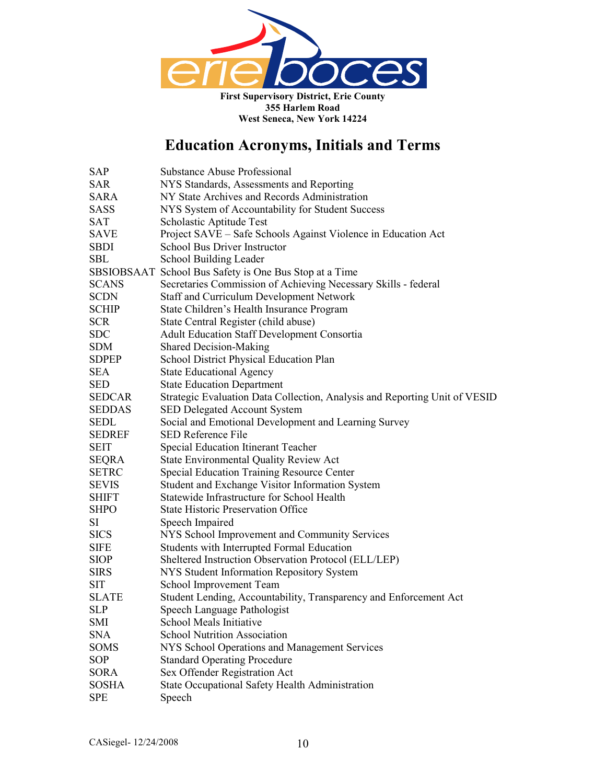

| SAP           | <b>Substance Abuse Professional</b>                                        |  |
|---------------|----------------------------------------------------------------------------|--|
| <b>SAR</b>    | NYS Standards, Assessments and Reporting                                   |  |
| <b>SARA</b>   | NY State Archives and Records Administration                               |  |
| <b>SASS</b>   | NYS System of Accountability for Student Success                           |  |
| <b>SAT</b>    | Scholastic Aptitude Test                                                   |  |
| <b>SAVE</b>   | Project SAVE – Safe Schools Against Violence in Education Act              |  |
| <b>SBDI</b>   | School Bus Driver Instructor                                               |  |
| <b>SBL</b>    | School Building Leader                                                     |  |
|               | SBSIOBSAAT School Bus Safety is One Bus Stop at a Time                     |  |
| <b>SCANS</b>  | Secretaries Commission of Achieving Necessary Skills - federal             |  |
| <b>SCDN</b>   | Staff and Curriculum Development Network                                   |  |
| <b>SCHIP</b>  | State Children's Health Insurance Program                                  |  |
| <b>SCR</b>    | State Central Register (child abuse)                                       |  |
| <b>SDC</b>    | <b>Adult Education Staff Development Consortia</b>                         |  |
| <b>SDM</b>    | <b>Shared Decision-Making</b>                                              |  |
| <b>SDPEP</b>  | School District Physical Education Plan                                    |  |
| <b>SEA</b>    | <b>State Educational Agency</b>                                            |  |
| <b>SED</b>    | <b>State Education Department</b>                                          |  |
| SEDCAR        | Strategic Evaluation Data Collection, Analysis and Reporting Unit of VESID |  |
| <b>SEDDAS</b> | SED Delegated Account System                                               |  |
| <b>SEDL</b>   | Social and Emotional Development and Learning Survey                       |  |
| <b>SEDREF</b> | <b>SED Reference File</b>                                                  |  |
| <b>SEIT</b>   | Special Education Itinerant Teacher                                        |  |
| <b>SEQRA</b>  | <b>State Environmental Quality Review Act</b>                              |  |
| <b>SETRC</b>  | <b>Special Education Training Resource Center</b>                          |  |
| <b>SEVIS</b>  | Student and Exchange Visitor Information System                            |  |
| <b>SHIFT</b>  | Statewide Infrastructure for School Health                                 |  |
| <b>SHPO</b>   | <b>State Historic Preservation Office</b>                                  |  |
| SI            | Speech Impaired                                                            |  |
| <b>SICS</b>   | NYS School Improvement and Community Services                              |  |
| <b>SIFE</b>   | Students with Interrupted Formal Education                                 |  |
| <b>SIOP</b>   | Sheltered Instruction Observation Protocol (ELL/LEP)                       |  |
| <b>SIRS</b>   | NYS Student Information Repository System                                  |  |
| SIT           | School Improvement Team                                                    |  |
| <b>SLATE</b>  | Student Lending, Accountability, Transparency and Enforcement Act          |  |
| <b>SLP</b>    | Speech Language Pathologist                                                |  |
| SMI           | School Meals Initiative                                                    |  |
| <b>SNA</b>    | <b>School Nutrition Association</b>                                        |  |
| <b>SOMS</b>   | NYS School Operations and Management Services                              |  |
| SOP           | <b>Standard Operating Procedure</b>                                        |  |
| <b>SORA</b>   | Sex Offender Registration Act                                              |  |
| <b>SOSHA</b>  | State Occupational Safety Health Administration                            |  |
| <b>SPE</b>    | Speech                                                                     |  |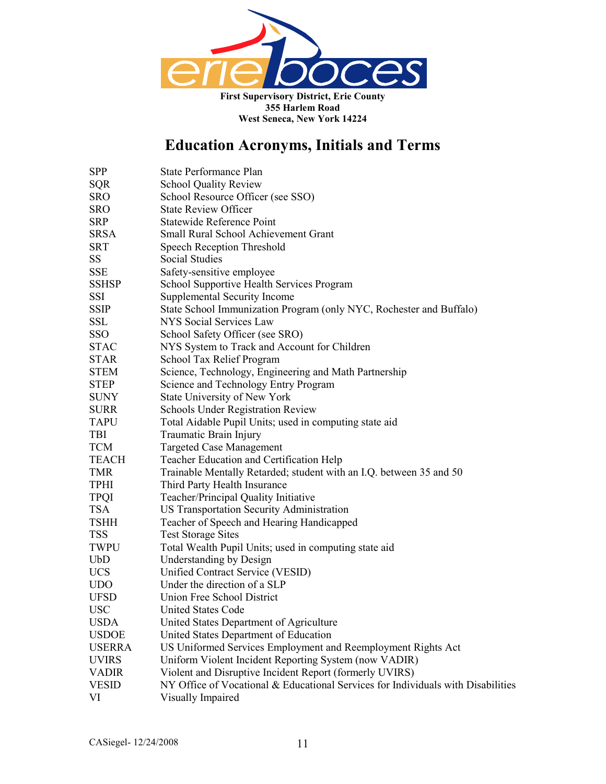

| <b>SPP</b>    | <b>State Performance Plan</b>                                                    |  |
|---------------|----------------------------------------------------------------------------------|--|
| <b>SQR</b>    | <b>School Quality Review</b>                                                     |  |
| <b>SRO</b>    | School Resource Officer (see SSO)                                                |  |
| <b>SRO</b>    | <b>State Review Officer</b>                                                      |  |
| <b>SRP</b>    | <b>Statewide Reference Point</b>                                                 |  |
| <b>SRSA</b>   | Small Rural School Achievement Grant                                             |  |
| <b>SRT</b>    | Speech Reception Threshold                                                       |  |
| <b>SS</b>     | Social Studies                                                                   |  |
| <b>SSE</b>    | Safety-sensitive employee                                                        |  |
| <b>SSHSP</b>  | School Supportive Health Services Program                                        |  |
| SSI           | Supplemental Security Income                                                     |  |
| SSIP          | State School Immunization Program (only NYC, Rochester and Buffalo)              |  |
| <b>SSL</b>    | <b>NYS Social Services Law</b>                                                   |  |
| SSO           | School Safety Officer (see SRO)                                                  |  |
| <b>STAC</b>   | NYS System to Track and Account for Children                                     |  |
| <b>STAR</b>   | School Tax Relief Program                                                        |  |
| <b>STEM</b>   | Science, Technology, Engineering and Math Partnership                            |  |
| <b>STEP</b>   | Science and Technology Entry Program                                             |  |
| <b>SUNY</b>   | State University of New York                                                     |  |
| <b>SURR</b>   | <b>Schools Under Registration Review</b>                                         |  |
| <b>TAPU</b>   | Total Aidable Pupil Units; used in computing state aid                           |  |
| TBI           | Traumatic Brain Injury                                                           |  |
| <b>TCM</b>    | <b>Targeted Case Management</b>                                                  |  |
| <b>TEACH</b>  | Teacher Education and Certification Help                                         |  |
| TMR           | Trainable Mentally Retarded; student with an I.Q. between 35 and 50              |  |
| <b>TPHI</b>   | Third Party Health Insurance                                                     |  |
| <b>TPQI</b>   | Teacher/Principal Quality Initiative                                             |  |
| <b>TSA</b>    | US Transportation Security Administration                                        |  |
| <b>TSHH</b>   | Teacher of Speech and Hearing Handicapped                                        |  |
| <b>TSS</b>    | <b>Test Storage Sites</b>                                                        |  |
| TWPU          | Total Wealth Pupil Units; used in computing state aid                            |  |
| <b>UbD</b>    | <b>Understanding by Design</b>                                                   |  |
| UCS           | Unified Contract Service (VESID)                                                 |  |
| <b>UDO</b>    | Under the direction of a SLP                                                     |  |
| <b>UFSD</b>   | Union Free School District                                                       |  |
| <b>USC</b>    | <b>United States Code</b>                                                        |  |
| <b>USDA</b>   | United States Department of Agriculture                                          |  |
| <b>USDOE</b>  | United States Department of Education                                            |  |
| <b>USERRA</b> | US Uniformed Services Employment and Reemployment Rights Act                     |  |
| <b>UVIRS</b>  | Uniform Violent Incident Reporting System (now VADIR)                            |  |
| <b>VADIR</b>  | Violent and Disruptive Incident Report (formerly UVIRS)                          |  |
| <b>VESID</b>  | NY Office of Vocational & Educational Services for Individuals with Disabilities |  |
| VI            | Visually Impaired                                                                |  |